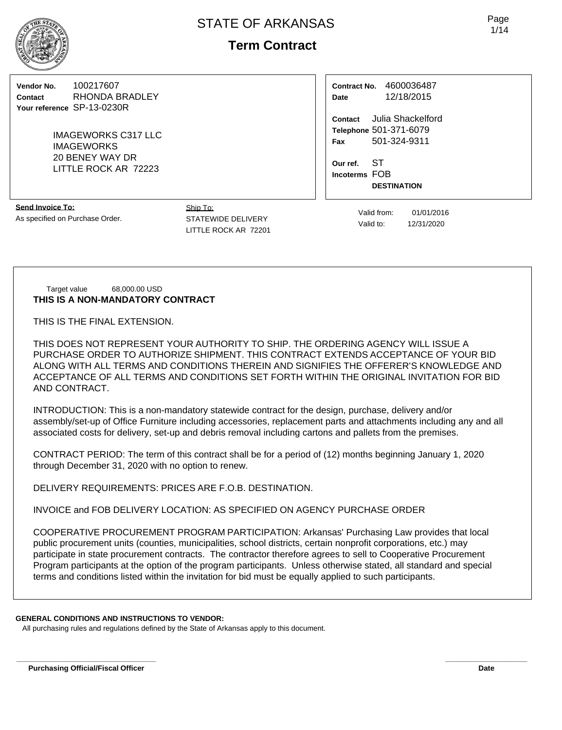# **Term Contract**

**Vendor No.** 100217607 **Contact** RHONDA BRADLEY **Your reference** SP-13-0230R

> IMAGEWORKS C317 LLC IMAGEWORKS 20 BENEY WAY DR LITTLE ROCK AR 72223

**Contract No.** 4600036487 **Date** 12/18/2015

**Contact** Julia Shackelford **Telephone** 501-371-6079 **Fax** 501-324-9311

**Our ref.** ST **Incoterms** FOB **DESTINATION**

**Send Invoice To:** As specified on Purchase Order.

Ship To: STATEWIDE DELIVERY LITTLE ROCK AR 72201

Valid from: 01/01/2016 Valid to: 12/31/2020

Target value 68,000.00 USD **THIS IS A NON-MANDATORY CONTRACT**

THIS IS THE FINAL EXTENSION.

THIS DOES NOT REPRESENT YOUR AUTHORITY TO SHIP. THE ORDERING AGENCY WILL ISSUE A PURCHASE ORDER TO AUTHORIZE SHIPMENT. THIS CONTRACT EXTENDS ACCEPTANCE OF YOUR BID ALONG WITH ALL TERMS AND CONDITIONS THEREIN AND SIGNIFIES THE OFFERER'S KNOWLEDGE AND ACCEPTANCE OF ALL TERMS AND CONDITIONS SET FORTH WITHIN THE ORIGINAL INVITATION FOR BID AND CONTRACT.

INTRODUCTION: This is a non-mandatory statewide contract for the design, purchase, delivery and/or assembly/set-up of Office Furniture including accessories, replacement parts and attachments including any and all associated costs for delivery, set-up and debris removal including cartons and pallets from the premises.

CONTRACT PERIOD: The term of this contract shall be for a period of (12) months beginning January 1, 2020 through December 31, 2020 with no option to renew.

DELIVERY REQUIREMENTS: PRICES ARE F.O.B. DESTINATION.

INVOICE and FOB DELIVERY LOCATION: AS SPECIFIED ON AGENCY PURCHASE ORDER

COOPERATIVE PROCUREMENT PROGRAM PARTICIPATION: Arkansas' Purchasing Law provides that local public procurement units (counties, municipalities, school districts, certain nonprofit corporations, etc.) may participate in state procurement contracts. The contractor therefore agrees to sell to Cooperative Procurement Program participants at the option of the program participants. Unless otherwise stated, all standard and special terms and conditions listed within the invitation for bid must be equally applied to such participants.

**\_\_\_\_\_\_\_\_\_\_\_\_\_\_\_\_\_\_\_\_\_\_\_\_\_\_\_\_\_\_\_\_\_\_ \_\_\_\_\_\_\_\_\_\_\_\_\_\_\_\_\_\_\_\_**

## **GENERAL CONDITIONS AND INSTRUCTIONS TO VENDOR:**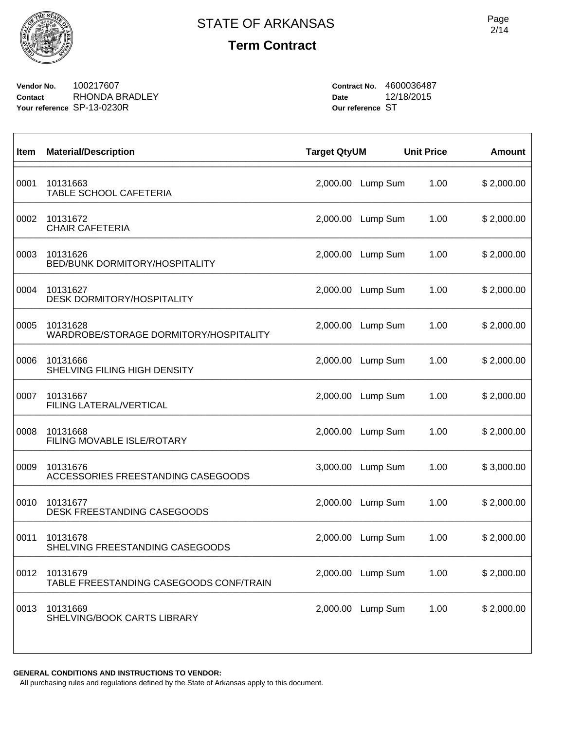

**Vendor No.** 100217607 **Contact** RHONDA BRADLEY **Your reference** SP-13-0230R

**Contract No.** 4600036487 **Date** 12/18/2015 **Our reference** ST

| Item | <b>Material/Description</b>                         | <b>Target QtyUM</b> |          | <b>Unit Price</b> | <b>Amount</b> |
|------|-----------------------------------------------------|---------------------|----------|-------------------|---------------|
| 0001 | 10131663<br>TABLE SCHOOL CAFETERIA                  | 2,000.00            | Lump Sum | 1.00              | \$2,000.00    |
| 0002 | 10131672<br><b>CHAIR CAFETERIA</b>                  | 2,000.00            | Lump Sum | 1.00              | \$2,000.00    |
| 0003 | 10131626<br>BED/BUNK DORMITORY/HOSPITALITY          | 2,000.00            | Lump Sum | 1.00              | \$2,000.00    |
| 0004 | 10131627<br><b>DESK DORMITORY/HOSPITALITY</b>       | 2,000.00            | Lump Sum | 1.00              | \$2,000.00    |
| 0005 | 10131628<br>WARDROBE/STORAGE DORMITORY/HOSPITALITY  | 2,000.00            | Lump Sum | 1.00              | \$2,000.00    |
| 0006 | 10131666<br>SHELVING FILING HIGH DENSITY            | 2,000.00            | Lump Sum | 1.00              | \$2,000.00    |
| 0007 | 10131667<br><b>FILING LATERAL/VERTICAL</b>          | 2,000.00            | Lump Sum | 1.00              | \$2,000.00    |
| 0008 | 10131668<br>FILING MOVABLE ISLE/ROTARY              | 2,000.00            | Lump Sum | 1.00              | \$2,000.00    |
| 0009 | 10131676<br>ACCESSORIES FREESTANDING CASEGOODS      | 3,000.00            | Lump Sum | 1.00              | \$3,000.00    |
| 0010 | 10131677<br>DESK FREESTANDING CASEGOODS             | 2,000.00            | Lump Sum | 1.00              | \$2,000.00    |
| 0011 | 10131678<br>SHELVING FREESTANDING CASEGOODS         | 2,000.00            | Lump Sum | 1.00              | \$2,000.00    |
| 0012 | 10131679<br>TABLE FREESTANDING CASEGOODS CONF/TRAIN | 2,000.00            | Lump Sum | 1.00              | \$2,000.00    |
| 0013 | 10131669<br>SHELVING/BOOK CARTS LIBRARY             | 2,000.00            | Lump Sum | 1.00              | \$2,000.00    |
|      |                                                     |                     |          |                   |               |

**GENERAL CONDITIONS AND INSTRUCTIONS TO VENDOR:**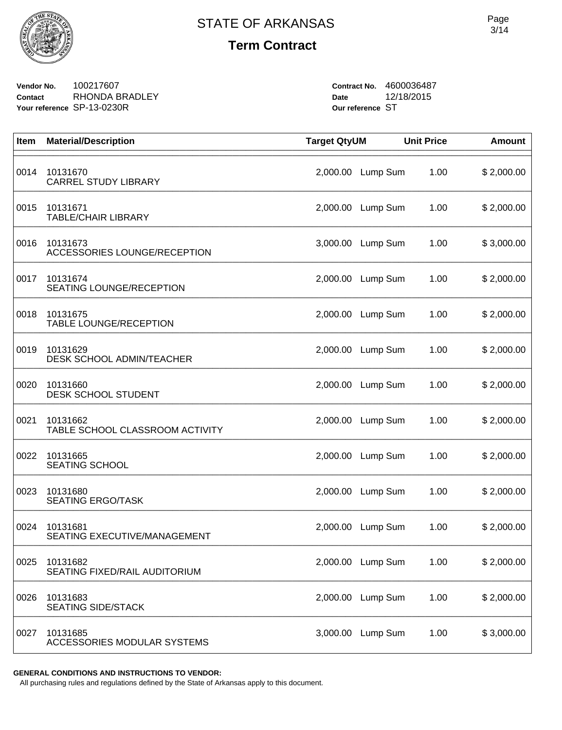

**Vendor No.** 100217607 **Contact** RHONDA BRADLEY **Your reference** SP-13-0230R

**Contract No.** 4600036487 **Date** 12/18/2015 **Our reference** ST

| Item | <b>Material/Description</b>                 | <b>Target QtyUM</b> |          | <b>Unit Price</b> | <b>Amount</b> |
|------|---------------------------------------------|---------------------|----------|-------------------|---------------|
| 0014 | 10131670<br><b>CARREL STUDY LIBRARY</b>     | 2,000.00            | Lump Sum | 1.00              | \$2,000.00    |
| 0015 | 10131671<br><b>TABLE/CHAIR LIBRARY</b>      | 2,000.00            | Lump Sum | 1.00              | \$2,000.00    |
| 0016 | 10131673<br>ACCESSORIES LOUNGE/RECEPTION    | 3,000.00            | Lump Sum | 1.00              | \$3,000.00    |
| 0017 | 10131674<br><b>SEATING LOUNGE/RECEPTION</b> | 2,000.00            | Lump Sum | 1.00              | \$2,000.00    |
| 0018 | 10131675<br><b>TABLE LOUNGE/RECEPTION</b>   | 2,000.00            | Lump Sum | 1.00              | \$2,000.00    |
| 0019 | 10131629<br>DESK SCHOOL ADMIN/TEACHER       | 2,000.00            | Lump Sum | 1.00              | \$2,000.00    |
| 0020 | 10131660<br>DESK SCHOOL STUDENT             | 2,000.00            | Lump Sum | 1.00              | \$2,000.00    |
| 0021 | 10131662<br>TABLE SCHOOL CLASSROOM ACTIVITY | 2,000.00            | Lump Sum | 1.00              | \$2,000.00    |
| 0022 | 10131665<br><b>SEATING SCHOOL</b>           | 2,000.00            | Lump Sum | 1.00              | \$2,000.00    |
| 0023 | 10131680<br><b>SEATING ERGO/TASK</b>        | 2,000.00            | Lump Sum | 1.00              | \$2,000.00    |
| 0024 | 10131681<br>SEATING EXECUTIVE/MANAGEMENT    | 2,000.00            | Lump Sum | 1.00              | \$2,000.00    |
| 0025 | 10131682<br>SEATING FIXED/RAIL AUDITORIUM   | 2,000.00            | Lump Sum | 1.00              | \$2,000.00    |
| 0026 | 10131683<br><b>SEATING SIDE/STACK</b>       | 2,000.00            | Lump Sum | 1.00              | \$2,000.00    |
| 0027 | 10131685<br>ACCESSORIES MODULAR SYSTEMS     | 3,000.00            | Lump Sum | 1.00              | \$3,000.00    |

**GENERAL CONDITIONS AND INSTRUCTIONS TO VENDOR:**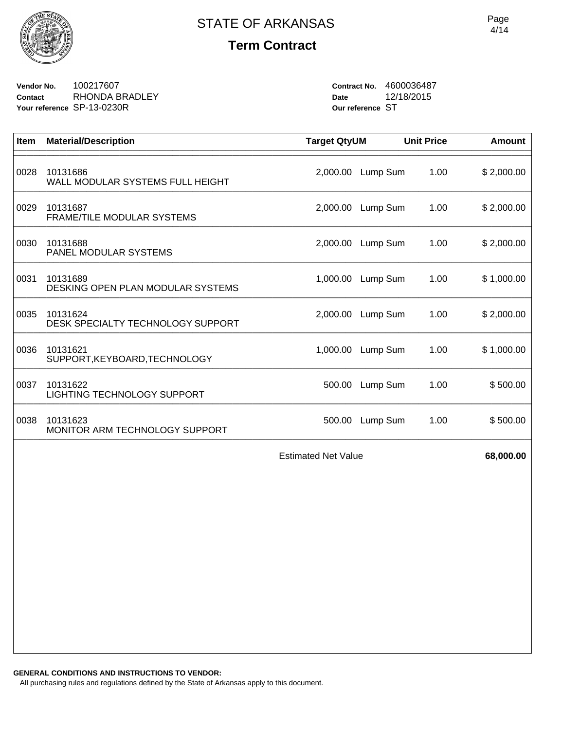

**Vendor No.** 100217607 **Contact** RHONDA BRADLEY **Your reference** SP-13-0230R

**Contract No.** 4600036487 **Date** 12/18/2015 **Our reference** ST

| <b>Item</b> | <b>Material/Description</b>                   | <b>Target QtyUM</b>        |                   | <b>Unit Price</b> | <b>Amount</b> |
|-------------|-----------------------------------------------|----------------------------|-------------------|-------------------|---------------|
| 0028        | 10131686<br>WALL MODULAR SYSTEMS FULL HEIGHT  | 2,000.00                   | Lump Sum          | 1.00              | \$2,000.00    |
| 0029        | 10131687<br>FRAME/TILE MODULAR SYSTEMS        | 2,000.00                   | Lump Sum          | 1.00              | \$2,000.00    |
| 0030        | 10131688<br>PANEL MODULAR SYSTEMS             |                            | 2,000.00 Lump Sum | 1.00              | \$2,000.00    |
| 0031        | 10131689<br>DESKING OPEN PLAN MODULAR SYSTEMS | 1,000.00                   | Lump Sum          | 1.00              | \$1,000.00    |
| 0035        | 10131624<br>DESK SPECIALTY TECHNOLOGY SUPPORT | 2,000.00                   | Lump Sum          | 1.00              | \$2,000.00    |
| 0036        | 10131621<br>SUPPORT, KEYBOARD, TECHNOLOGY     | 1,000.00                   | Lump Sum          | 1.00              | \$1,000.00    |
| 0037        | 10131622<br>LIGHTING TECHNOLOGY SUPPORT       | 500.00                     | Lump Sum          | 1.00              | \$500.00      |
| 0038        | 10131623<br>MONITOR ARM TECHNOLOGY SUPPORT    | 500.00                     | Lump Sum          | 1.00              | \$500.00      |
|             |                                               | <b>Estimated Net Value</b> |                   |                   | 68,000.00     |
|             |                                               |                            |                   |                   |               |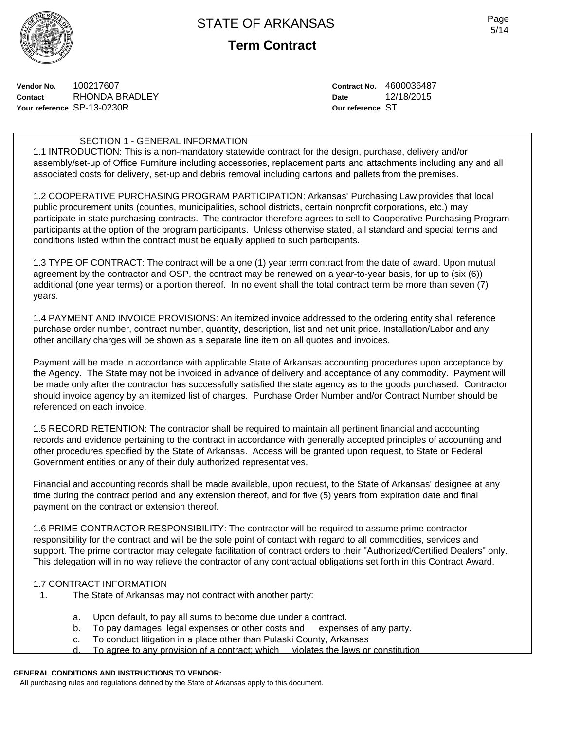

**Vendor No.** 100217607 **Contact** RHONDA BRADLEY **Your reference** SP-13-0230R

**Contract No.** 4600036487 **Date** 12/18/2015 **Our reference** ST

### SECTION 1 - GENERAL INFORMATION

1.1 INTRODUCTION: This is a non-mandatory statewide contract for the design, purchase, delivery and/or assembly/set-up of Office Furniture including accessories, replacement parts and attachments including any and all associated costs for delivery, set-up and debris removal including cartons and pallets from the premises.

1.2 COOPERATIVE PURCHASING PROGRAM PARTICIPATION: Arkansas' Purchasing Law provides that local public procurement units (counties, municipalities, school districts, certain nonprofit corporations, etc.) may participate in state purchasing contracts. The contractor therefore agrees to sell to Cooperative Purchasing Program participants at the option of the program participants. Unless otherwise stated, all standard and special terms and conditions listed within the contract must be equally applied to such participants.

1.3 TYPE OF CONTRACT: The contract will be a one (1) year term contract from the date of award. Upon mutual agreement by the contractor and OSP, the contract may be renewed on a year-to-year basis, for up to (six (6)) additional (one year terms) or a portion thereof. In no event shall the total contract term be more than seven (7) years.

1.4 PAYMENT AND INVOICE PROVISIONS: An itemized invoice addressed to the ordering entity shall reference purchase order number, contract number, quantity, description, list and net unit price. Installation/Labor and any other ancillary charges will be shown as a separate line item on all quotes and invoices.

Payment will be made in accordance with applicable State of Arkansas accounting procedures upon acceptance by the Agency. The State may not be invoiced in advance of delivery and acceptance of any commodity. Payment will be made only after the contractor has successfully satisfied the state agency as to the goods purchased. Contractor should invoice agency by an itemized list of charges. Purchase Order Number and/or Contract Number should be referenced on each invoice.

1.5 RECORD RETENTION: The contractor shall be required to maintain all pertinent financial and accounting records and evidence pertaining to the contract in accordance with generally accepted principles of accounting and other procedures specified by the State of Arkansas. Access will be granted upon request, to State or Federal Government entities or any of their duly authorized representatives.

Financial and accounting records shall be made available, upon request, to the State of Arkansas' designee at any time during the contract period and any extension thereof, and for five (5) years from expiration date and final payment on the contract or extension thereof.

1.6 PRIME CONTRACTOR RESPONSIBILITY: The contractor will be required to assume prime contractor responsibility for the contract and will be the sole point of contact with regard to all commodities, services and support. The prime contractor may delegate facilitation of contract orders to their "Authorized/Certified Dealers" only. This delegation will in no way relieve the contractor of any contractual obligations set forth in this Contract Award.

#### 1.7 CONTRACT INFORMATION

- 1. The State of Arkansas may not contract with another party:
	- a. Upon default, to pay all sums to become due under a contract.
	- b. To pay damages, legal expenses or other costs and expenses of any party.
	- c. To conduct litigation in a place other than Pulaski County, Arkansas
	- d. To agree to any provision of a contract; which violates the laws or constitution

### **GENERAL CONDITIONS AND INSTRUCTIONS TO VENDOR:**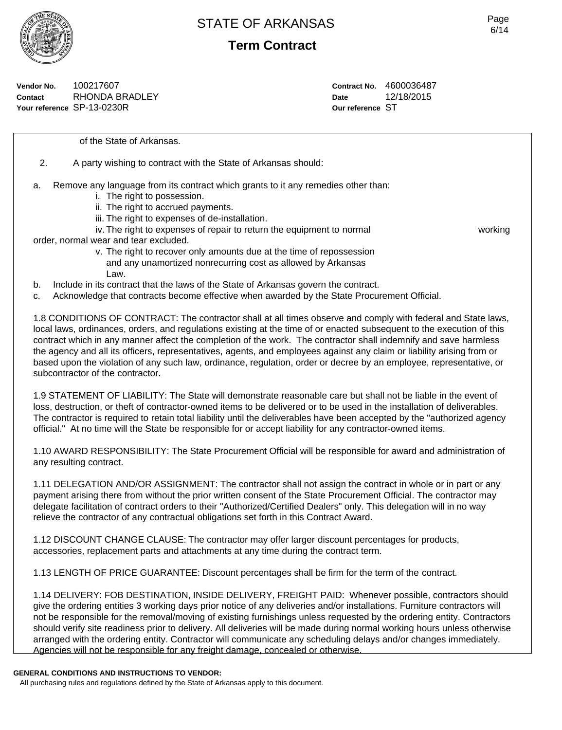

**Term Contract**

**Vendor No.** 100217607 **Contact** RHONDA BRADLEY **Your reference** SP-13-0230R

**Contract No.** 4600036487 **Date** 12/18/2015 **Our reference** ST

of the State of Arkansas.

2. A party wishing to contract with the State of Arkansas should:

- a. Remove any language from its contract which grants to it any remedies other than:
	- i. The right to possession.
	- ii. The right to accrued payments.
	- iii. The right to expenses of de-installation.
	- iv. The right to expenses of repair to return the equipment to normal working

order, normal wear and tear excluded.

- v. The right to recover only amounts due at the time of repossession and any unamortized nonrecurring cost as allowed by Arkansas Law.
- b. Include in its contract that the laws of the State of Arkansas govern the contract.

c. Acknowledge that contracts become effective when awarded by the State Procurement Official.

1.8 CONDITIONS OF CONTRACT: The contractor shall at all times observe and comply with federal and State laws, local laws, ordinances, orders, and regulations existing at the time of or enacted subsequent to the execution of this contract which in any manner affect the completion of the work. The contractor shall indemnify and save harmless the agency and all its officers, representatives, agents, and employees against any claim or liability arising from or based upon the violation of any such law, ordinance, regulation, order or decree by an employee, representative, or subcontractor of the contractor.

1.9 STATEMENT OF LIABILITY: The State will demonstrate reasonable care but shall not be liable in the event of loss, destruction, or theft of contractor-owned items to be delivered or to be used in the installation of deliverables. The contractor is required to retain total liability until the deliverables have been accepted by the "authorized agency official." At no time will the State be responsible for or accept liability for any contractor-owned items.

1.10 AWARD RESPONSIBILITY: The State Procurement Official will be responsible for award and administration of any resulting contract.

1.11 DELEGATION AND/OR ASSIGNMENT: The contractor shall not assign the contract in whole or in part or any payment arising there from without the prior written consent of the State Procurement Official. The contractor may delegate facilitation of contract orders to their "Authorized/Certified Dealers" only. This delegation will in no way relieve the contractor of any contractual obligations set forth in this Contract Award.

1.12 DISCOUNT CHANGE CLAUSE: The contractor may offer larger discount percentages for products, accessories, replacement parts and attachments at any time during the contract term.

1.13 LENGTH OF PRICE GUARANTEE: Discount percentages shall be firm for the term of the contract.

1.14 DELIVERY: FOB DESTINATION, INSIDE DELIVERY, FREIGHT PAID: Whenever possible, contractors should give the ordering entities 3 working days prior notice of any deliveries and/or installations. Furniture contractors will not be responsible for the removal/moving of existing furnishings unless requested by the ordering entity. Contractors should verify site readiness prior to delivery. All deliveries will be made during normal working hours unless otherwise arranged with the ordering entity. Contractor will communicate any scheduling delays and/or changes immediately. Agencies will not be responsible for any freight damage, concealed or otherwise.

#### **GENERAL CONDITIONS AND INSTRUCTIONS TO VENDOR:**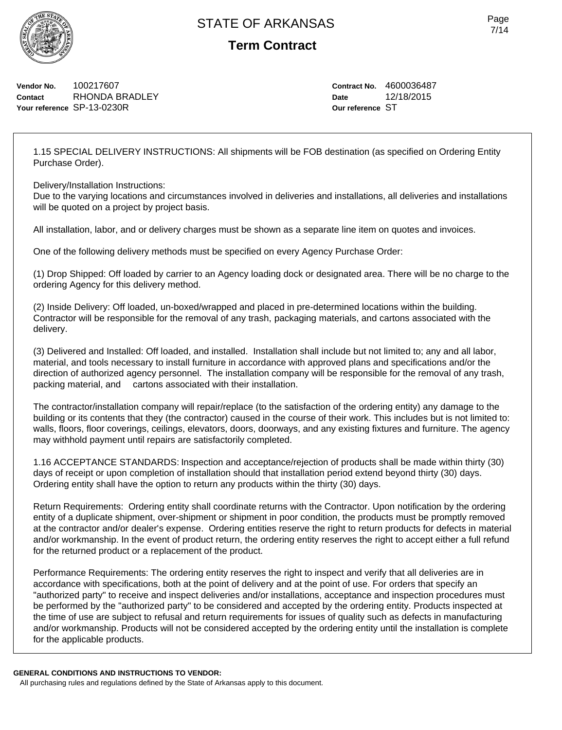

**Term Contract**

**Vendor No.** 100217607 **Contact** RHONDA BRADLEY **Your reference** SP-13-0230R

**Contract No.** 4600036487 **Date** 12/18/2015 **Our reference** ST

1.15 SPECIAL DELIVERY INSTRUCTIONS: All shipments will be FOB destination (as specified on Ordering Entity Purchase Order).

Delivery/Installation Instructions:

Due to the varying locations and circumstances involved in deliveries and installations, all deliveries and installations will be quoted on a project by project basis.

All installation, labor, and or delivery charges must be shown as a separate line item on quotes and invoices.

One of the following delivery methods must be specified on every Agency Purchase Order:

(1) Drop Shipped: Off loaded by carrier to an Agency loading dock or designated area. There will be no charge to the ordering Agency for this delivery method.

(2) Inside Delivery: Off loaded, un-boxed/wrapped and placed in pre-determined locations within the building. Contractor will be responsible for the removal of any trash, packaging materials, and cartons associated with the delivery.

(3) Delivered and Installed: Off loaded, and installed. Installation shall include but not limited to; any and all labor, material, and tools necessary to install furniture in accordance with approved plans and specifications and/or the direction of authorized agency personnel. The installation company will be responsible for the removal of any trash, packing material, and cartons associated with their installation.

The contractor/installation company will repair/replace (to the satisfaction of the ordering entity) any damage to the building or its contents that they (the contractor) caused in the course of their work. This includes but is not limited to: walls, floors, floor coverings, ceilings, elevators, doors, doorways, and any existing fixtures and furniture. The agency may withhold payment until repairs are satisfactorily completed.

1.16 ACCEPTANCE STANDARDS: Inspection and acceptance/rejection of products shall be made within thirty (30) days of receipt or upon completion of installation should that installation period extend beyond thirty (30) days. Ordering entity shall have the option to return any products within the thirty (30) days.

Return Requirements: Ordering entity shall coordinate returns with the Contractor. Upon notification by the ordering entity of a duplicate shipment, over-shipment or shipment in poor condition, the products must be promptly removed at the contractor and/or dealer's expense. Ordering entities reserve the right to return products for defects in material and/or workmanship. In the event of product return, the ordering entity reserves the right to accept either a full refund for the returned product or a replacement of the product.

Performance Requirements: The ordering entity reserves the right to inspect and verify that all deliveries are in accordance with specifications, both at the point of delivery and at the point of use. For orders that specify an "authorized party" to receive and inspect deliveries and/or installations, acceptance and inspection procedures must be performed by the "authorized party" to be considered and accepted by the ordering entity. Products inspected at the time of use are subject to refusal and return requirements for issues of quality such as defects in manufacturing and/or workmanship. Products will not be considered accepted by the ordering entity until the installation is complete for the applicable products.

**GENERAL CONDITIONS AND INSTRUCTIONS TO VENDOR:** All purchasing rules and regulations defined by the State of Arkansas apply to this document.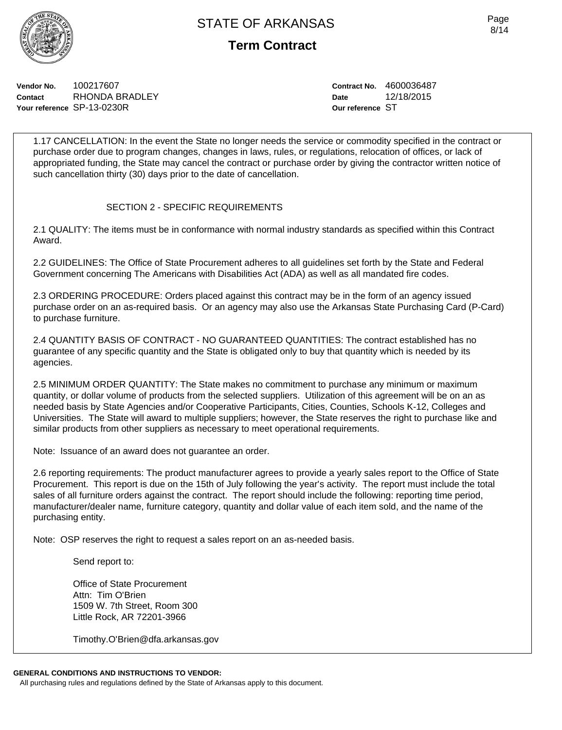Page 8/14

**Vendor No.** 100217607 **Contact** RHONDA BRADLEY **Your reference** SP-13-0230R

**Contract No.** 4600036487 **Date** 12/18/2015 **Our reference** ST

1.17 CANCELLATION: In the event the State no longer needs the service or commodity specified in the contract or purchase order due to program changes, changes in laws, rules, or regulations, relocation of offices, or lack of appropriated funding, the State may cancel the contract or purchase order by giving the contractor written notice of such cancellation thirty (30) days prior to the date of cancellation.

## SECTION 2 - SPECIFIC REQUIREMENTS

2.1 QUALITY: The items must be in conformance with normal industry standards as specified within this Contract Award.

2.2 GUIDELINES: The Office of State Procurement adheres to all guidelines set forth by the State and Federal Government concerning The Americans with Disabilities Act (ADA) as well as all mandated fire codes.

2.3 ORDERING PROCEDURE: Orders placed against this contract may be in the form of an agency issued purchase order on an as-required basis. Or an agency may also use the Arkansas State Purchasing Card (P-Card) to purchase furniture.

2.4 QUANTITY BASIS OF CONTRACT - NO GUARANTEED QUANTITIES: The contract established has no guarantee of any specific quantity and the State is obligated only to buy that quantity which is needed by its agencies.

2.5 MINIMUM ORDER QUANTITY: The State makes no commitment to purchase any minimum or maximum quantity, or dollar volume of products from the selected suppliers. Utilization of this agreement will be on an as needed basis by State Agencies and/or Cooperative Participants, Cities, Counties, Schools K-12, Colleges and Universities. The State will award to multiple suppliers; however, the State reserves the right to purchase like and similar products from other suppliers as necessary to meet operational requirements.

Note: Issuance of an award does not guarantee an order.

2.6 reporting requirements: The product manufacturer agrees to provide a yearly sales report to the Office of State Procurement. This report is due on the 15th of July following the year's activity. The report must include the total sales of all furniture orders against the contract. The report should include the following: reporting time period, manufacturer/dealer name, furniture category, quantity and dollar value of each item sold, and the name of the purchasing entity.

Note: OSP reserves the right to request a sales report on an as-needed basis.

Send report to:

Office of State Procurement Attn: Tim O'Brien 1509 W. 7th Street, Room 300 Little Rock, AR 72201-3966

Timothy.O'Brien@dfa.arkansas.gov

## **GENERAL CONDITIONS AND INSTRUCTIONS TO VENDOR:**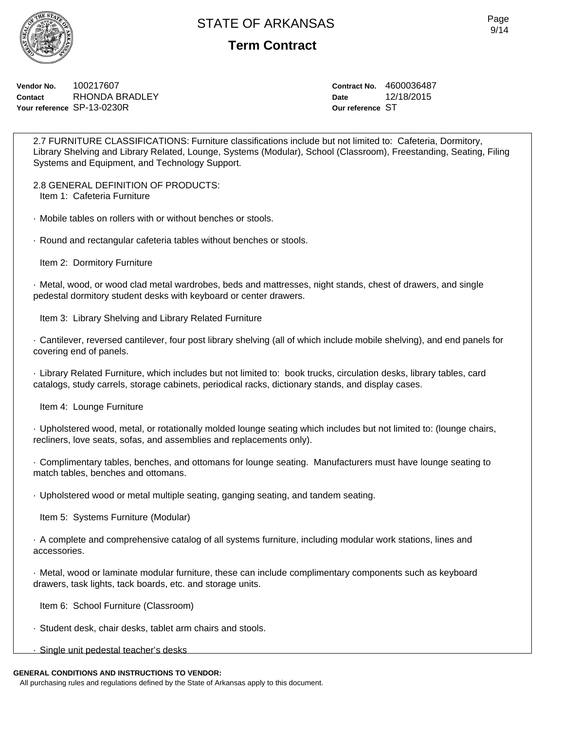**Term Contract**

**Vendor No.** 100217607 **Contact** RHONDA BRADLEY **Your reference** SP-13-0230R

**Contract No.** 4600036487 **Date** 12/18/2015 **Our reference** ST

2.7 FURNITURE CLASSIFICATIONS: Furniture classifications include but not limited to: Cafeteria, Dormitory, Library Shelving and Library Related, Lounge, Systems (Modular), School (Classroom), Freestanding, Seating, Filing Systems and Equipment, and Technology Support.

2.8 GENERAL DEFINITION OF PRODUCTS: Item 1: Cafeteria Furniture

· Mobile tables on rollers with or without benches or stools.

· Round and rectangular cafeteria tables without benches or stools.

Item 2: Dormitory Furniture

· Metal, wood, or wood clad metal wardrobes, beds and mattresses, night stands, chest of drawers, and single pedestal dormitory student desks with keyboard or center drawers.

Item 3: Library Shelving and Library Related Furniture

· Cantilever, reversed cantilever, four post library shelving (all of which include mobile shelving), and end panels for covering end of panels.

· Library Related Furniture, which includes but not limited to: book trucks, circulation desks, library tables, card catalogs, study carrels, storage cabinets, periodical racks, dictionary stands, and display cases.

Item 4: Lounge Furniture

· Upholstered wood, metal, or rotationally molded lounge seating which includes but not limited to: (lounge chairs, recliners, love seats, sofas, and assemblies and replacements only).

· Complimentary tables, benches, and ottomans for lounge seating. Manufacturers must have lounge seating to match tables, benches and ottomans.

· Upholstered wood or metal multiple seating, ganging seating, and tandem seating.

Item 5: Systems Furniture (Modular)

· A complete and comprehensive catalog of all systems furniture, including modular work stations, lines and accessories.

· Metal, wood or laminate modular furniture, these can include complimentary components such as keyboard drawers, task lights, tack boards, etc. and storage units.

Item 6: School Furniture (Classroom)

· Student desk, chair desks, tablet arm chairs and stools.

· Single unit pedestal teacher's desks

## **GENERAL CONDITIONS AND INSTRUCTIONS TO VENDOR:**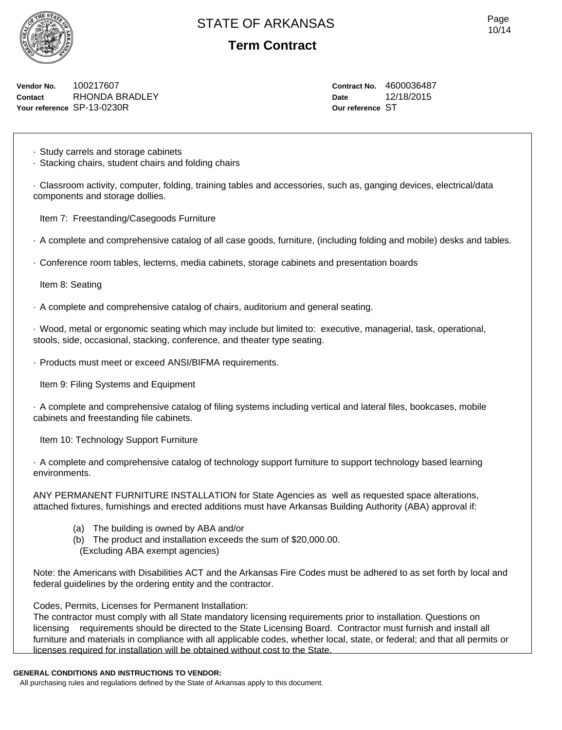

**Term Contract**

**Vendor No.** 100217607 **Contact** RHONDA BRADLEY **Your reference** SP-13-0230R

**Contract No.** 4600036487 **Date** 12/18/2015 **Our reference** ST

· Study carrels and storage cabinets

· Stacking chairs, student chairs and folding chairs

· Classroom activity, computer, folding, training tables and accessories, such as, ganging devices, electrical/data components and storage dollies.

Item 7: Freestanding/Casegoods Furniture

· A complete and comprehensive catalog of all case goods, furniture, (including folding and mobile) desks and tables.

· Conference room tables, lecterns, media cabinets, storage cabinets and presentation boards

Item 8: Seating

· A complete and comprehensive catalog of chairs, auditorium and general seating.

· Wood, metal or ergonomic seating which may include but limited to: executive, managerial, task, operational, stools, side, occasional, stacking, conference, and theater type seating.

· Products must meet or exceed ANSI/BIFMA requirements.

Item 9: Filing Systems and Equipment

· A complete and comprehensive catalog of filing systems including vertical and lateral files, bookcases, mobile cabinets and freestanding file cabinets.

Item 10: Technology Support Furniture

· A complete and comprehensive catalog of technology support furniture to support technology based learning environments.

ANY PERMANENT FURNITURE INSTALLATION for State Agencies as well as requested space alterations, attached fixtures, furnishings and erected additions must have Arkansas Building Authority (ABA) approval if:

- (a) The building is owned by ABA and/or
- (b) The product and installation exceeds the sum of \$20,000.00.
- (Excluding ABA exempt agencies)

Note: the Americans with Disabilities ACT and the Arkansas Fire Codes must be adhered to as set forth by local and federal guidelines by the ordering entity and the contractor.

Codes, Permits, Licenses for Permanent Installation:

The contractor must comply with all State mandatory licensing requirements prior to installation. Questions on licensing requirements should be directed to the State Licensing Board. Contractor must furnish and install all furniture and materials in compliance with all applicable codes, whether local, state, or federal; and that all permits or licenses required for installation will be obtained without cost to the State.

#### **GENERAL CONDITIONS AND INSTRUCTIONS TO VENDOR:**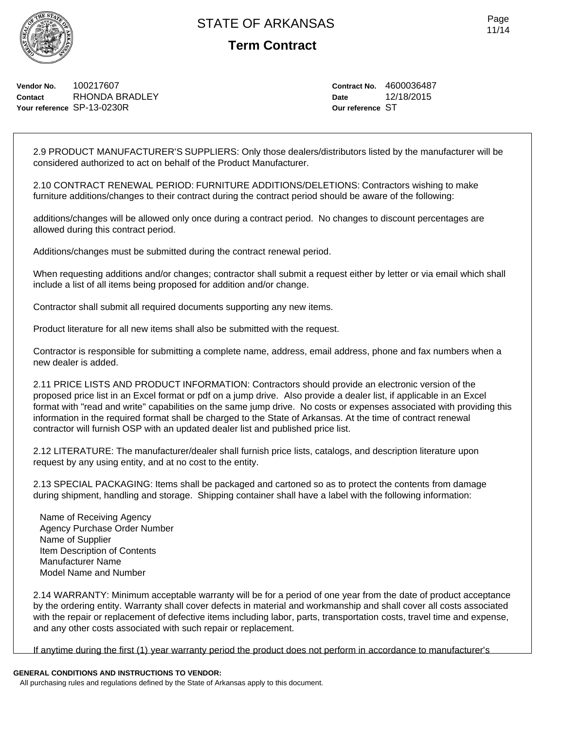Page 11/14

**Vendor No.** 100217607 **Contact** RHONDA BRADLEY **Your reference** SP-13-0230R

**Contract No.** 4600036487 **Date** 12/18/2015 **Our reference** ST

2.9 PRODUCT MANUFACTURER'S SUPPLIERS: Only those dealers/distributors listed by the manufacturer will be considered authorized to act on behalf of the Product Manufacturer.

2.10 CONTRACT RENEWAL PERIOD: FURNITURE ADDITIONS/DELETIONS: Contractors wishing to make furniture additions/changes to their contract during the contract period should be aware of the following:

additions/changes will be allowed only once during a contract period. No changes to discount percentages are allowed during this contract period.

Additions/changes must be submitted during the contract renewal period.

When requesting additions and/or changes; contractor shall submit a request either by letter or via email which shall include a list of all items being proposed for addition and/or change.

Contractor shall submit all required documents supporting any new items.

Product literature for all new items shall also be submitted with the request.

Contractor is responsible for submitting a complete name, address, email address, phone and fax numbers when a new dealer is added.

2.11 PRICE LISTS AND PRODUCT INFORMATION: Contractors should provide an electronic version of the proposed price list in an Excel format or pdf on a jump drive. Also provide a dealer list, if applicable in an Excel format with "read and write" capabilities on the same jump drive. No costs or expenses associated with providing this information in the required format shall be charged to the State of Arkansas. At the time of contract renewal contractor will furnish OSP with an updated dealer list and published price list.

2.12 LITERATURE: The manufacturer/dealer shall furnish price lists, catalogs, and description literature upon request by any using entity, and at no cost to the entity.

2.13 SPECIAL PACKAGING: Items shall be packaged and cartoned so as to protect the contents from damage during shipment, handling and storage. Shipping container shall have a label with the following information:

Name of Receiving Agency Agency Purchase Order Number Name of Supplier Item Description of Contents Manufacturer Name Model Name and Number

2.14 WARRANTY: Minimum acceptable warranty will be for a period of one year from the date of product acceptance by the ordering entity. Warranty shall cover defects in material and workmanship and shall cover all costs associated with the repair or replacement of defective items including labor, parts, transportation costs, travel time and expense, and any other costs associated with such repair or replacement.

If anytime during the first (1) year warranty period the product does not perform in accordance to manufacturer's

#### **GENERAL CONDITIONS AND INSTRUCTIONS TO VENDOR:**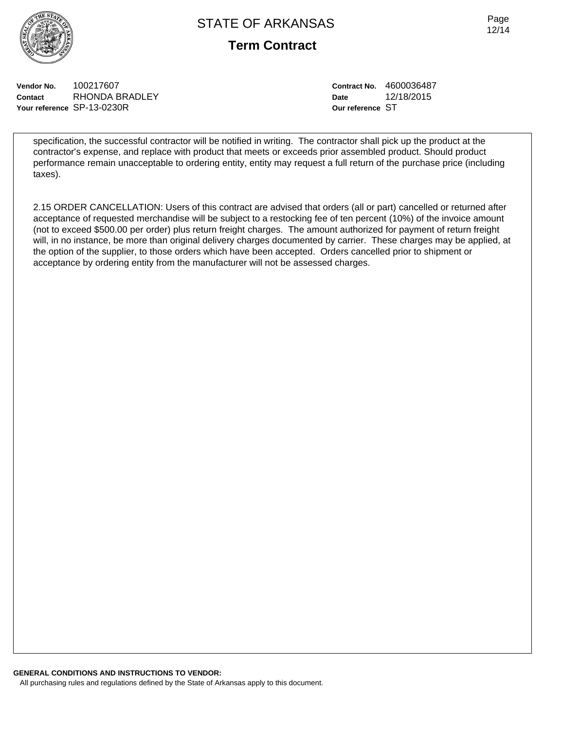



**Vendor No.** 100217607 **Contact** RHONDA BRADLEY **Your reference** SP-13-0230R

**Contract No.** 4600036487 **Date** 12/18/2015 **Our reference** ST

specification, the successful contractor will be notified in writing. The contractor shall pick up the product at the contractor's expense, and replace with product that meets or exceeds prior assembled product. Should product performance remain unacceptable to ordering entity, entity may request a full return of the purchase price (including taxes).

2.15 ORDER CANCELLATION: Users of this contract are advised that orders (all or part) cancelled or returned after acceptance of requested merchandise will be subject to a restocking fee of ten percent (10%) of the invoice amount (not to exceed \$500.00 per order) plus return freight charges. The amount authorized for payment of return freight will, in no instance, be more than original delivery charges documented by carrier. These charges may be applied, at the option of the supplier, to those orders which have been accepted. Orders cancelled prior to shipment or acceptance by ordering entity from the manufacturer will not be assessed charges.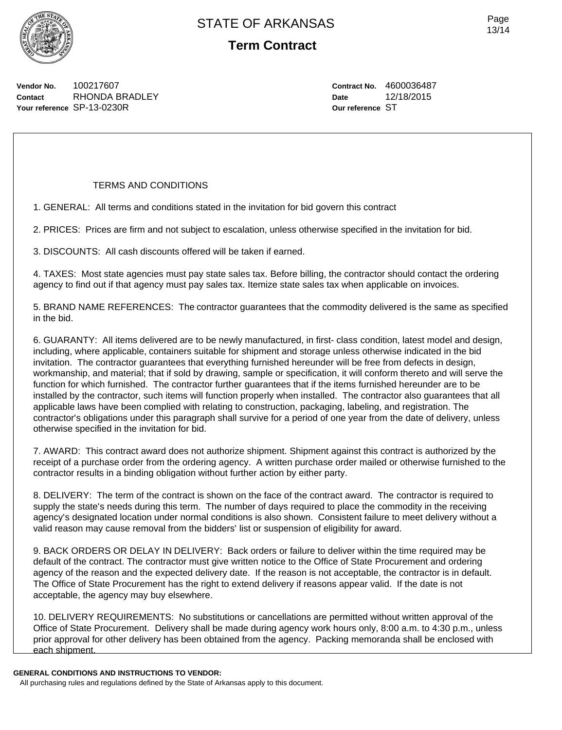

**Vendor No.** 100217607 **Contact** RHONDA BRADLEY **Your reference** SP-13-0230R

### TERMS AND CONDITIONS

1. GENERAL: All terms and conditions stated in the invitation for bid govern this contract

2. PRICES: Prices are firm and not subject to escalation, unless otherwise specified in the invitation for bid.

3. DISCOUNTS: All cash discounts offered will be taken if earned.

4. TAXES: Most state agencies must pay state sales tax. Before billing, the contractor should contact the ordering agency to find out if that agency must pay sales tax. Itemize state sales tax when applicable on invoices.

5. BRAND NAME REFERENCES: The contractor guarantees that the commodity delivered is the same as specified in the bid.

6. GUARANTY: All items delivered are to be newly manufactured, in first- class condition, latest model and design, including, where applicable, containers suitable for shipment and storage unless otherwise indicated in the bid invitation. The contractor guarantees that everything furnished hereunder will be free from defects in design, workmanship, and material; that if sold by drawing, sample or specification, it will conform thereto and will serve the function for which furnished. The contractor further guarantees that if the items furnished hereunder are to be installed by the contractor, such items will function properly when installed. The contractor also guarantees that all applicable laws have been complied with relating to construction, packaging, labeling, and registration. The contractor's obligations under this paragraph shall survive for a period of one year from the date of delivery, unless otherwise specified in the invitation for bid.

7. AWARD: This contract award does not authorize shipment. Shipment against this contract is authorized by the receipt of a purchase order from the ordering agency. A written purchase order mailed or otherwise furnished to the contractor results in a binding obligation without further action by either party.

8. DELIVERY: The term of the contract is shown on the face of the contract award. The contractor is required to supply the state's needs during this term. The number of days required to place the commodity in the receiving agency's designated location under normal conditions is also shown. Consistent failure to meet delivery without a valid reason may cause removal from the bidders' list or suspension of eligibility for award.

9. BACK ORDERS OR DELAY IN DELIVERY: Back orders or failure to deliver within the time required may be default of the contract. The contractor must give written notice to the Office of State Procurement and ordering agency of the reason and the expected delivery date. If the reason is not acceptable, the contractor is in default. The Office of State Procurement has the right to extend delivery if reasons appear valid. If the date is not acceptable, the agency may buy elsewhere.

10. DELIVERY REQUIREMENTS: No substitutions or cancellations are permitted without written approval of the Office of State Procurement. Delivery shall be made during agency work hours only, 8:00 a.m. to 4:30 p.m., unless prior approval for other delivery has been obtained from the agency. Packing memoranda shall be enclosed with each shipment.

#### **GENERAL CONDITIONS AND INSTRUCTIONS TO VENDOR:**